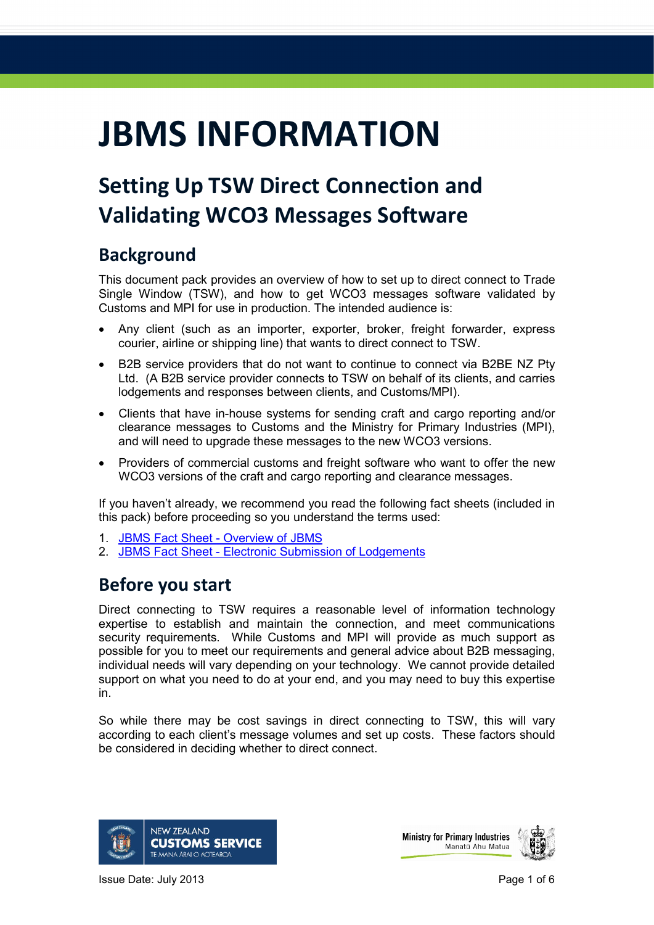# **JBMS INFORMATION**

## **Setting Up TSW Direct Connection and Validating WCO3 Messages Software**

## **Background**

This document pack provides an overview of how to set up to direct connect to Trade Single Window (TSW), and how to get WCO3 messages software validated by Customs and MPI for use in production. The intended audience is:

- Any client (such as an importer, exporter, broker, freight forwarder, express courier, airline or shipping line) that wants to direct connect to TSW.
- B2B service providers that do not want to continue to connect via B2BE NZ Pty Ltd. (A B2B service provider connects to TSW on behalf of its clients, and carries lodgements and responses between clients, and Customs/MPI).
- Clients that have in-house systems for sending craft and cargo reporting and/or clearance messages to Customs and the Ministry for Primary Industries (MPI), and will need to upgrade these messages to the new WCO3 versions.
- Providers of commercial customs and freight software who want to offer the new WCO3 versions of the craft and cargo reporting and clearance messages.

If you haven't already, we recommend you read the following fact sheets (included in this pack) before proceeding so you understand the terms used:

- 1. [JBMS Fact Sheet -](http://www.customs.govt.nz/news/resources/factsheets/Documents/JBMSFactSheetOverview.pdf) Overview of JBMS
- 2. JBMS Fact Sheet [Electronic Submission of Lodgements](http://www.customs.govt.nz/news/resources/factsheets/Documents/JBMSFactSheetElectronic.pdf)

## **Before you start**

Direct connecting to TSW requires a reasonable level of information technology expertise to establish and maintain the connection, and meet communications security requirements. While Customs and MPI will provide as much support as possible for you to meet our requirements and general advice about B2B messaging, individual needs will vary depending on your technology. We cannot provide detailed support on what you need to do at your end, and you may need to buy this expertise in.

So while there may be cost savings in direct connecting to TSW, this will vary according to each client's message volumes and set up costs. These factors should be considered in deciding whether to direct connect.



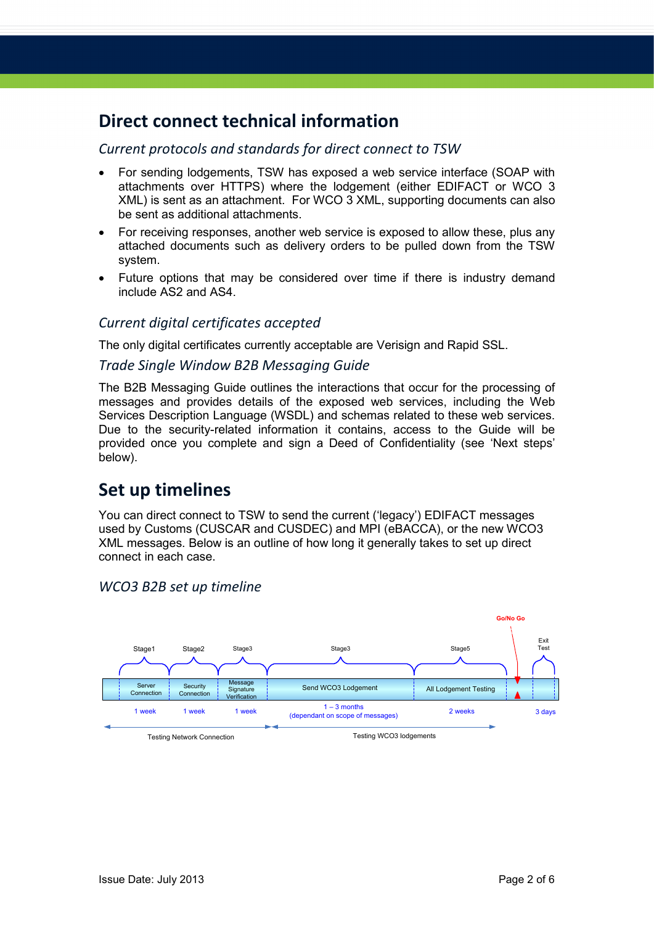## **Direct connect technical information**

#### *Current protocols and standards for direct connect to TSW*

- For sending lodgements, TSW has exposed a web service interface (SOAP with attachments over HTTPS) where the lodgement (either EDIFACT or WCO 3 XML) is sent as an attachment. For WCO 3 XML, supporting documents can also be sent as additional attachments.
- For receiving responses, another web service is exposed to allow these, plus any attached documents such as delivery orders to be pulled down from the TSW system.
- Future options that may be considered over time if there is industry demand include AS2 and AS4.

#### *Current digital certificates accepted*

The only digital certificates currently acceptable are Verisign and Rapid SSL.

#### *Trade Single Window B2B Messaging Guide*

The B2B Messaging Guide outlines the interactions that occur for the processing of messages and provides details of the exposed web services, including the Web Services Description Language (WSDL) and schemas related to these web services. Due to the security-related information it contains, access to the Guide will be provided once you complete and sign a Deed of Confidentiality (see 'Next steps' below).

## **Set up timelines**

You can direct connect to TSW to send the current ('legacy') EDIFACT messages used by Customs (CUSCAR and CUSDEC) and MPI (eBACCA), or the new WCO3 XML messages. Below is an outline of how long it generally takes to set up direct connect in each case.



#### *WCO3 B2B set up timeline*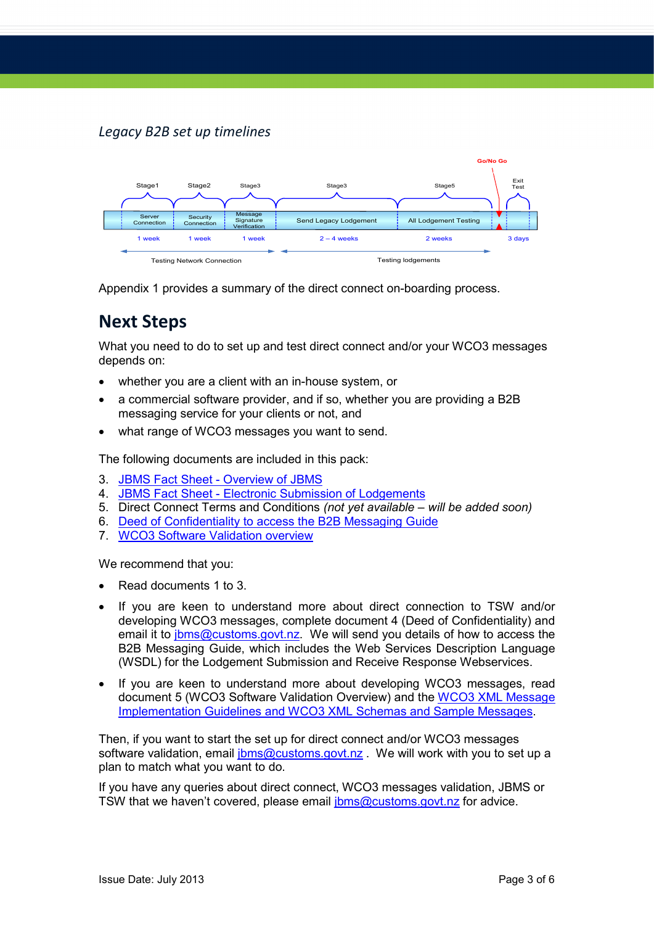#### *Legacy B2B set up timelines*



Appendix 1 provides a summary of the direct connect on-boarding process.

## **Next Steps**

What you need to do to set up and test direct connect and/or your WCO3 messages depends on:

- whether you are a client with an in-house system, or
- a commercial software provider, and if so, whether you are providing a B2B messaging service for your clients or not, and
- what range of WCO3 messages you want to send.

The following documents are included in this pack:

- 3. [JBMS Fact Sheet -](http://www.customs.govt.nz/news/resources/factsheets/Documents/JBMSFactSheetOverview.pdf) Overview of JBMS
- 4. JBMS Fact Sheet [Electronic Submission of Lodgements](http://www.customs.govt.nz/news/resources/factsheets/Documents/JBMSFactSheetElectronic.pdf)
- 5. Direct Connect Terms and Conditions *(not yet available – will be added soon)*
- 6. [Deed of Confidentiality to access the B2B Messaging Guide](http://publicweb.customs.govt.nz/news/resources/bordersector/Documents/Deed%20of%20Confidentiality%20to%20access%20the%20B2B%25)
- 7. [WCO3 Software Validation overview](http://www.customs.govt.nz/news/resources/bordersector/Documents/WCO3%20Software%20Validation%20overview.doc)

We recommend that you:

- Read documents 1 to 3.
- If you are keen to understand more about direct connection to TSW and/or developing WCO3 messages, complete document 4 (Deed of Confidentiality) and email it to [jbms@customs.govt.nz.](mailto:jbms@customs.govt.nz) We will send you details of how to access the B2B Messaging Guide, which includes the Web Services Description Language (WSDL) for the Lodgement Submission and Receive Response Webservices.
- If you are keen to understand more about developing WCO3 messages, read document 5 (WCO3 Software Validation Overview) and the [WCO3 XML Message](http://www.customs.govt.nz/features/jointbordermanagement/TSWdocuments/Pages/default.aspx)  [Implementation Guidelines and WCO3 XML Schemas and Sample Messages.](http://www.customs.govt.nz/features/jointbordermanagement/TSWdocuments/Pages/default.aspx)

Then, if you want to start the set up for direct connect and/or WCO3 messages software validation, email [jbms@customs.govt.nz](mailto:jbms@customs.govt.nz). We will work with you to set up a plan to match what you want to do.

If you have any queries about direct connect, WCO3 messages validation, JBMS or TSW that we haven't covered, please email [jbms@customs.govt.nz](mailto:jbms@customs.govt.nz) for advice.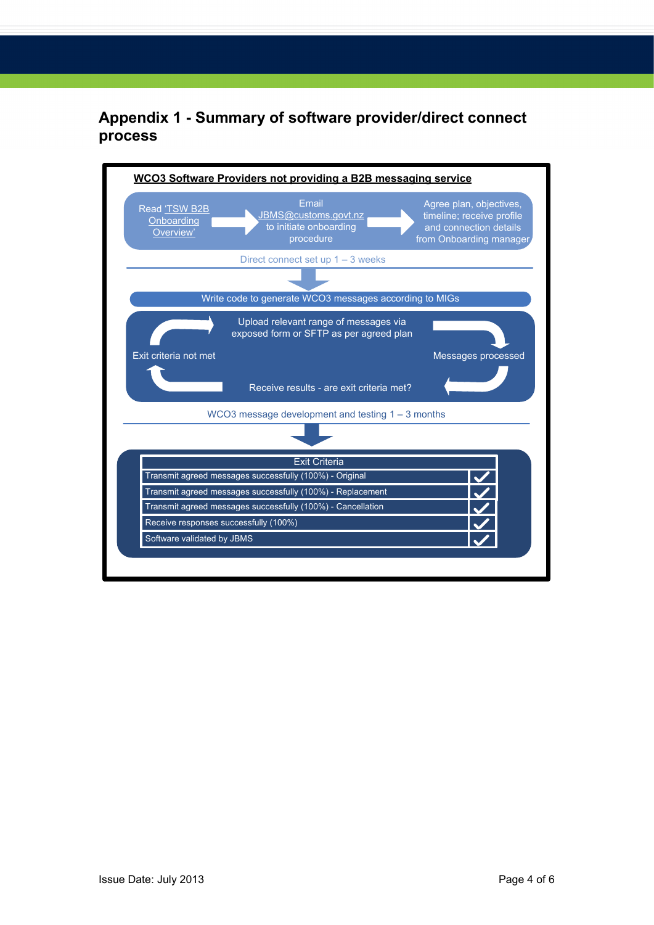### **Appendix 1 - Summary of software provider/direct connect process**

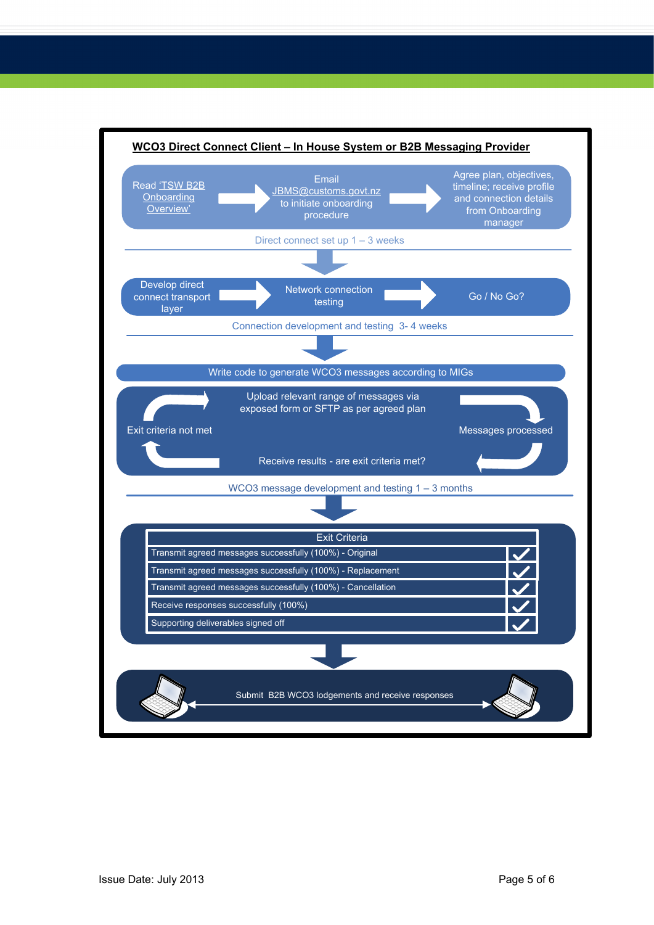